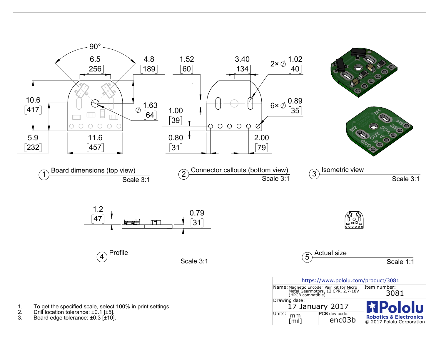